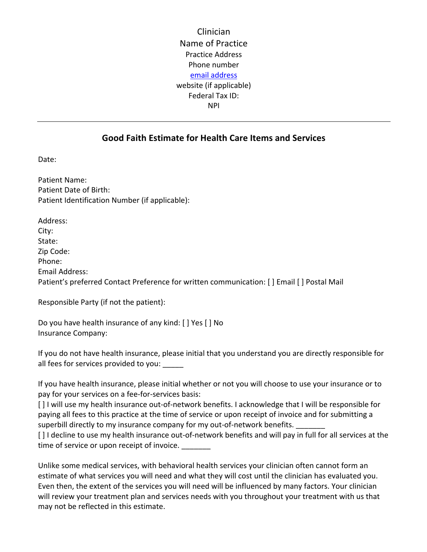Clinician Name of Practice Practice Address Phone number email address website (if applicable) Federal Tax ID: NPI

## **Good Faith Estimate for Health Care Items and Services**

Date:

Patient Name: Patient Date of Birth: Patient Identification Number (if applicable):

Address: City: State: Zip Code: Phone: Email Address: Patient's preferred Contact Preference for written communication: [ ] Email [ ] Postal Mail

Responsible Party (if not the patient):

Do you have health insurance of any kind: [ ] Yes [ ] No Insurance Company:

If you do not have health insurance, please initial that you understand you are directly responsible for all fees for services provided to you:

If you have health insurance, please initial whether or not you will choose to use your insurance or to pay for your services on a fee-for-services basis:

[ ] I will use my health insurance out-of-network benefits. I acknowledge that I will be responsible for paying all fees to this practice at the time of service or upon receipt of invoice and for submitting a superbill directly to my insurance company for my out-of-network benefits.

[ ] I decline to use my health insurance out-of-network benefits and will pay in full for all services at the time of service or upon receipt of invoice.

Unlike some medical services, with behavioral health services your clinician often cannot form an estimate of what services you will need and what they will cost until the clinician has evaluated you. Even then, the extent of the services you will need will be influenced by many factors. Your clinician will review your treatment plan and services needs with you throughout your treatment with us that may not be reflected in this estimate.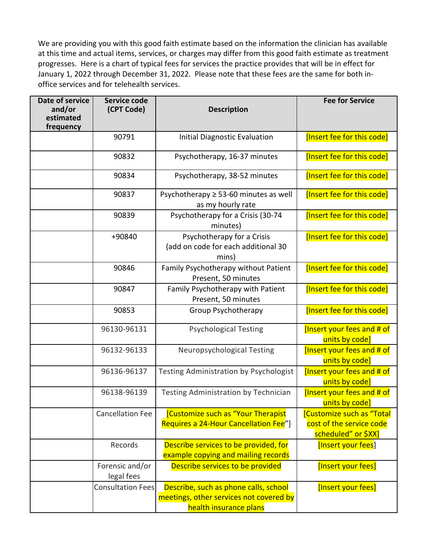We are providing you with this good faith estimate based on the information the clinician has available at this time and actual items, services, or charges may differ from this good faith estimate as treatment progresses. Here is a chart of typical fees for services the practice provides that will be in effect for January 1, 2022 through December 31, 2022. Please note that these fees are the same for both inoffice services and for telehealth services.

| Date of service<br>and/or<br>estimated<br>frequency | Service code<br>(CPT Code)    | <b>Description</b>                                                                                         | <b>Fee for Service</b>                                                             |
|-----------------------------------------------------|-------------------------------|------------------------------------------------------------------------------------------------------------|------------------------------------------------------------------------------------|
|                                                     | 90791                         | <b>Initial Diagnostic Evaluation</b>                                                                       | [Insert fee for this code]                                                         |
|                                                     | 90832                         | Psychotherapy, 16-37 minutes                                                                               | [Insert fee for this code]                                                         |
|                                                     | 90834                         | Psychotherapy, 38-52 minutes                                                                               | [Insert fee for this code]                                                         |
|                                                     | 90837                         | Psychotherapy $\geq$ 53-60 minutes as well<br>as my hourly rate                                            | [Insert fee for this code]                                                         |
|                                                     | 90839                         | Psychotherapy for a Crisis (30-74<br>minutes)                                                              | [Insert fee for this code]                                                         |
|                                                     | +90840                        | Psychotherapy for a Crisis<br>(add on code for each additional 30<br>mins)                                 | [Insert fee for this code]                                                         |
|                                                     | 90846                         | Family Psychotherapy without Patient<br>Present, 50 minutes                                                | [Insert fee for this code]                                                         |
|                                                     | 90847                         | Family Psychotherapy with Patient<br>Present, 50 minutes                                                   | [Insert fee for this code]                                                         |
|                                                     | 90853                         | Group Psychotherapy                                                                                        | [Insert fee for this code]                                                         |
|                                                     | 96130-96131                   | <b>Psychological Testing</b>                                                                               | [Insert your fees and # of<br>units by code]                                       |
|                                                     | 96132-96133                   | Neuropsychological Testing                                                                                 | [Insert your fees and # of<br>units by code]                                       |
|                                                     | 96136-96137                   | <b>Testing Administration by Psychologist</b>                                                              | [Insert your fees and # of<br>units by code]                                       |
|                                                     | 96138-96139                   | Testing Administration by Technician                                                                       | <b>Insert your fees and # of</b><br>units by code]                                 |
|                                                     | <b>Cancellation Fee</b>       | [Customize such as "Your Therapist<br>Requires a 24-Hour Cancellation Fee"]                                | <b>Customize such as "Total</b><br>cost of the service code<br>scheduled" or \$XX] |
|                                                     | Records                       | Describe services to be provided, for<br>example copying and mailing records                               | [Insert your fees]                                                                 |
|                                                     | Forensic and/or<br>legal fees | Describe services to be provided                                                                           | [Insert your fees]                                                                 |
|                                                     | <b>Consultation Fees</b>      | Describe, such as phone calls, school<br>meetings, other services not covered by<br>health insurance plans | [Insert your fees]                                                                 |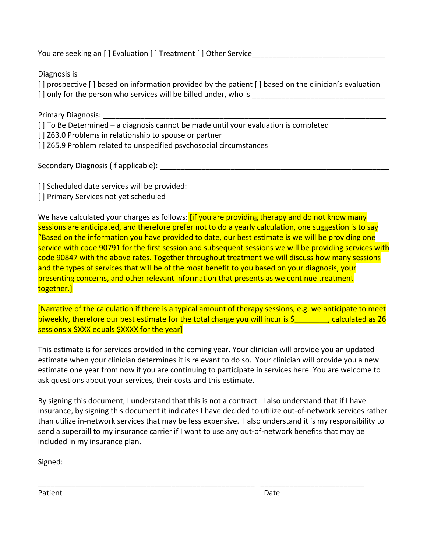You are seeking an [ ] Evaluation [ ] Treatment [ ] Other Service\_\_\_\_

Diagnosis is

[] prospective [] based on information provided by the patient [] based on the clinician's evaluation [] only for the person who services will be billed under, who is

Primary Diagnosis:

[] To Be Determined – a diagnosis cannot be made until your evaluation is completed

[] Z63.0 Problems in relationship to spouse or partner

[] Z65.9 Problem related to unspecified psychosocial circumstances

Secondary Diagnosis (if applicable):

[] Scheduled date services will be provided:

[ ] Primary Services not yet scheduled

We have calculated your charges as follows: *[if you are providing therapy and do not know many* sessions are anticipated, and therefore prefer not to do a yearly calculation, one suggestion is to say "Based on the information you have provided to date, our best estimate is we will be providing one service with code 90791 for the first session and subsequent sessions we will be providing services with code 90847 with the above rates. Together throughout treatment we will discuss how many sessions and the types of services that will be of the most benefit to you based on your diagnosis, your presenting concerns, and other relevant information that presents as we continue treatment together.]

[Narrative of the calculation if there is a typical amount of therapy sessions, e.g. we anticipate to meet biweekly, therefore our best estimate for the total charge you will incur is  $\zeta$  alculated as 26 sessions x \$XXX equals \$XXXX for the year]

This estimate is for services provided in the coming year. Your clinician will provide you an updated estimate when your clinician determines it is relevant to do so. Your clinician will provide you a new estimate one year from now if you are continuing to participate in services here. You are welcome to ask questions about your services, their costs and this estimate.

By signing this document, I understand that this is not a contract. I also understand that if I have insurance, by signing this document it indicates I have decided to utilize out-of-network services rather than utilize in-network services that may be less expensive. I also understand it is my responsibility to send a superbill to my insurance carrier if I want to use any out-of-network benefits that may be included in my insurance plan.

\_\_\_\_\_\_\_\_\_\_\_\_\_\_\_\_\_\_\_\_\_\_\_\_\_\_\_\_\_\_\_\_\_\_\_\_\_\_\_\_\_\_\_\_\_\_\_\_\_\_\_\_ \_\_\_\_\_\_\_\_\_\_\_\_\_\_\_\_\_\_\_\_\_\_\_\_\_

Signed:

Patient Date **Date**